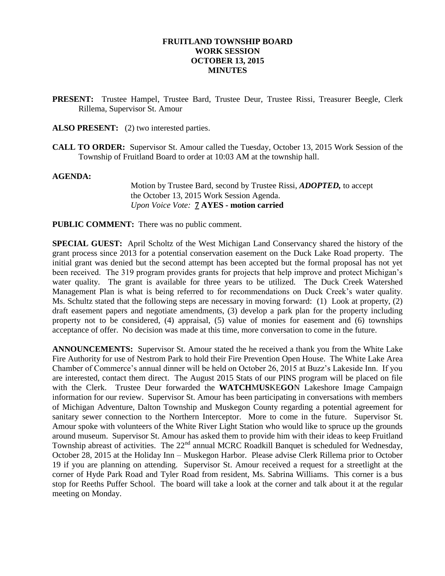### **FRUITLAND TOWNSHIP BOARD WORK SESSION OCTOBER 13, 2015 MINUTES**

- **PRESENT:** Trustee Hampel, Trustee Bard, Trustee Deur, Trustee Rissi, Treasurer Beegle, Clerk Rillema, Supervisor St. Amour
- ALSO PRESENT: (2) two interested parties.
- **CALL TO ORDER:** Supervisor St. Amour called the Tuesday, October 13, 2015 Work Session of the Township of Fruitland Board to order at 10:03 AM at the township hall.

#### **AGENDA:**

Motion by Trustee Bard, second by Trustee Rissi, *ADOPTED,* to accept the October 13, 2015 Work Session Agenda. *Upon Voice Vote:* **7 AYES - motion carried**

**PUBLIC COMMENT:** There was no public comment.

**SPECIAL GUEST:** April Scholtz of the West Michigan Land Conservancy shared the history of the grant process since 2013 for a potential conservation easement on the Duck Lake Road property. The initial grant was denied but the second attempt has been accepted but the formal proposal has not yet been received. The 319 program provides grants for projects that help improve and protect Michigan's water quality. The grant is available for three years to be utilized. The Duck Creek Watershed Management Plan is what is being referred to for recommendations on Duck Creek's water quality. Ms. Schultz stated that the following steps are necessary in moving forward: (1) Look at property, (2) draft easement papers and negotiate amendments, (3) develop a park plan for the property including property not to be considered, (4) appraisal, (5) value of monies for easement and (6) townships acceptance of offer. No decision was made at this time, more conversation to come in the future.

**ANNOUNCEMENTS:** Supervisor St. Amour stated the he received a thank you from the White Lake Fire Authority for use of Nestrom Park to hold their Fire Prevention Open House. The White Lake Area Chamber of Commerce's annual dinner will be held on October 26, 2015 at Buzz's Lakeside Inn. If you are interested, contact them direct. The August 2015 Stats of our PINS program will be placed on file with the Clerk. Trustee Deur forwarded the **WATCH**M**US**KE**GO**N Lakeshore Image Campaign information for our review. Supervisor St. Amour has been participating in conversations with members of Michigan Adventure, Dalton Township and Muskegon County regarding a potential agreement for sanitary sewer connection to the Northern Interceptor. More to come in the future. Supervisor St. Amour spoke with volunteers of the White River Light Station who would like to spruce up the grounds around museum. Supervisor St. Amour has asked them to provide him with their ideas to keep Fruitland Township abreast of activities. The 22<sup>nd</sup> annual MCRC Roadkill Banquet is scheduled for Wednesday, October 28, 2015 at the Holiday Inn – Muskegon Harbor. Please advise Clerk Rillema prior to October 19 if you are planning on attending. Supervisor St. Amour received a request for a streetlight at the corner of Hyde Park Road and Tyler Road from resident, Ms. Sabrina Williams. This corner is a bus stop for Reeths Puffer School. The board will take a look at the corner and talk about it at the regular meeting on Monday.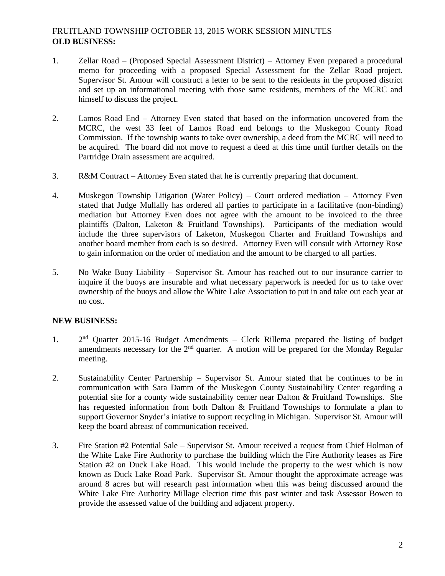# FRUITLAND TOWNSHIP OCTOBER 13, 2015 WORK SESSION MINUTES **OLD BUSINESS:**

- 1. Zellar Road (Proposed Special Assessment District) Attorney Even prepared a procedural memo for proceeding with a proposed Special Assessment for the Zellar Road project. Supervisor St. Amour will construct a letter to be sent to the residents in the proposed district and set up an informational meeting with those same residents, members of the MCRC and himself to discuss the project.
- 2. Lamos Road End Attorney Even stated that based on the information uncovered from the MCRC, the west 33 feet of Lamos Road end belongs to the Muskegon County Road Commission. If the township wants to take over ownership, a deed from the MCRC will need to be acquired. The board did not move to request a deed at this time until further details on the Partridge Drain assessment are acquired.
- 3. R&M Contract Attorney Even stated that he is currently preparing that document.
- 4. Muskegon Township Litigation (Water Policy) Court ordered mediation Attorney Even stated that Judge Mullally has ordered all parties to participate in a facilitative (non-binding) mediation but Attorney Even does not agree with the amount to be invoiced to the three plaintiffs (Dalton, Laketon & Fruitland Townships). Participants of the mediation would include the three supervisors of Laketon, Muskegon Charter and Fruitland Townships and another board member from each is so desired. Attorney Even will consult with Attorney Rose to gain information on the order of mediation and the amount to be charged to all parties.
- 5. No Wake Buoy Liability Supervisor St. Amour has reached out to our insurance carrier to inquire if the buoys are insurable and what necessary paperwork is needed for us to take over ownership of the buoys and allow the White Lake Association to put in and take out each year at no cost.

## **NEW BUSINESS:**

- 1. 2  $2<sup>nd</sup>$  Quarter 2015-16 Budget Amendments – Clerk Rillema prepared the listing of budget amendments necessary for the  $2<sup>nd</sup>$  quarter. A motion will be prepared for the Monday Regular meeting.
- 2. Sustainability Center Partnership Supervisor St. Amour stated that he continues to be in communication with Sara Damm of the Muskegon County Sustainability Center regarding a potential site for a county wide sustainability center near Dalton & Fruitland Townships. She has requested information from both Dalton  $&$  Fruitland Townships to formulate a plan to support Governor Snyder's iniative to support recycling in Michigan. Supervisor St. Amour will keep the board abreast of communication received.
- 3. Fire Station #2 Potential Sale Supervisor St. Amour received a request from Chief Holman of the White Lake Fire Authority to purchase the building which the Fire Authority leases as Fire Station #2 on Duck Lake Road. This would include the property to the west which is now known as Duck Lake Road Park. Supervisor St. Amour thought the approximate acreage was around 8 acres but will research past information when this was being discussed around the White Lake Fire Authority Millage election time this past winter and task Assessor Bowen to provide the assessed value of the building and adjacent property.